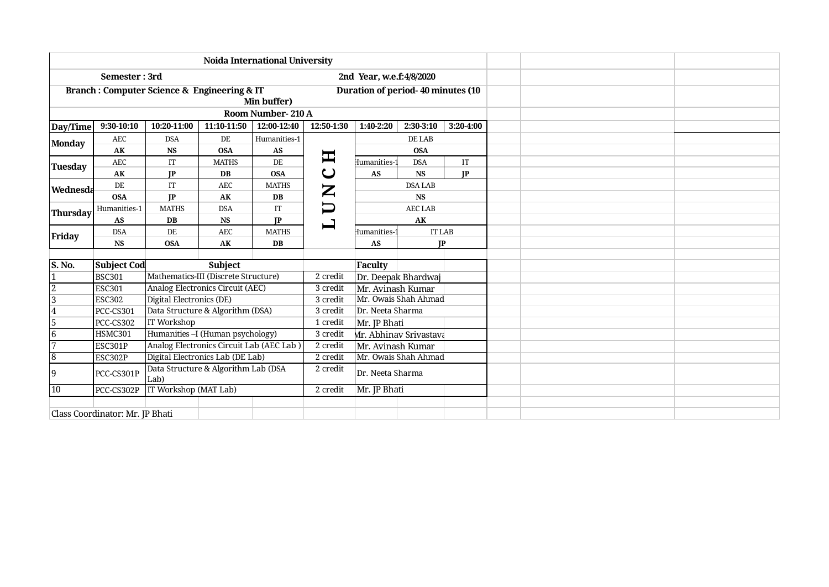|                                 |                    |                                                            |                  | <b>Noida International University</b> |                                                                                                                                                                                                                                                                                                                                                                                                                                                     |                                                        |                                   |           |  |  |  |
|---------------------------------|--------------------|------------------------------------------------------------|------------------|---------------------------------------|-----------------------------------------------------------------------------------------------------------------------------------------------------------------------------------------------------------------------------------------------------------------------------------------------------------------------------------------------------------------------------------------------------------------------------------------------------|--------------------------------------------------------|-----------------------------------|-----------|--|--|--|
|                                 | Semester: 3rd      |                                                            |                  |                                       |                                                                                                                                                                                                                                                                                                                                                                                                                                                     | 2nd Year, w.e.f:4/8/2020                               |                                   |           |  |  |  |
|                                 |                    | <b>Branch: Computer Science &amp; Engineering &amp; IT</b> |                  | Min buffer)                           |                                                                                                                                                                                                                                                                                                                                                                                                                                                     |                                                        | Duration of period-40 minutes (10 |           |  |  |  |
|                                 |                    |                                                            |                  | Room Number-210 A                     |                                                                                                                                                                                                                                                                                                                                                                                                                                                     |                                                        |                                   |           |  |  |  |
| Day/Time                        | $9:30-10:10$       | 10:20-11:00                                                | 11:10-11:50      | 12:00-12:40                           | 12:50-1:30                                                                                                                                                                                                                                                                                                                                                                                                                                          | 1:40-2:20                                              | 2:30-3:10                         | 3:20-4:00 |  |  |  |
| <b>Monday</b>                   | AEC                | <b>DSA</b>                                                 | DE               | Humanities-1                          |                                                                                                                                                                                                                                                                                                                                                                                                                                                     |                                                        | DE LAB                            |           |  |  |  |
|                                 | AK                 | <b>NS</b>                                                  | <b>OSA</b>       | AS                                    | H                                                                                                                                                                                                                                                                                                                                                                                                                                                   |                                                        | <b>OSA</b>                        |           |  |  |  |
| Tuesday                         | AEC                | IT                                                         | <b>MATHS</b>     | DE                                    |                                                                                                                                                                                                                                                                                                                                                                                                                                                     | Humanities-                                            | <b>DSA</b>                        | IT        |  |  |  |
|                                 | AK                 | IP                                                         | <b>DB</b>        | <b>OSA</b>                            | $\mathbf\mathsf{\omega}$                                                                                                                                                                                                                                                                                                                                                                                                                            | <b>AS</b>                                              | <b>NS</b>                         | IP        |  |  |  |
| Wednesda                        | DE                 | IT                                                         | <b>AEC</b>       | <b>MATHS</b>                          | $\mathbf{Z}% _{T}=\mathbf{Z}_{T}\!\left( a,b\right) ,\ \mathbf{Z}_{T}=\mathbf{Z}_{T} \!\left( a,b\right) ,\ \mathbf{Z}_{T}=\mathbf{Z}_{T}% \!\left( a,b\right) ,\ \mathbf{Z}_{T}=\mathbf{Z}_{T} \!\left( a,b\right) ,\ \mathbf{Z}_{T}=\mathbf{Z}_{T} \!\left( a,b\right) ,\ \mathbf{Z}_{T}=\mathbf{Z}_{T} \!\left( a,b\right) ,\ \mathbf{Z}_{T}=\mathbf{Z}_{T} \!\left( a,b\right) ,\ \mathbf{Z}_{T}=\mathbf{Z}_{T} \!\left( a,b\right) ,\ \mathbf$ |                                                        | <b>DSA LAB</b>                    |           |  |  |  |
|                                 | <b>OSA</b>         | <b>IP</b>                                                  | ${\bf A}{\bf K}$ | DB                                    |                                                                                                                                                                                                                                                                                                                                                                                                                                                     |                                                        | <b>NS</b>                         |           |  |  |  |
| <b>Thursday</b>                 | Humanities-1       | <b>MATHS</b>                                               | <b>DSA</b>       | IT                                    | $\bm{\Box}$                                                                                                                                                                                                                                                                                                                                                                                                                                         |                                                        | <b>AEC LAB</b>                    |           |  |  |  |
|                                 | AS                 | DB                                                         | <b>NS</b>        | IP                                    | $\mathbf{\mathbf{\mathbf{\mathbf{\mathbf{I}}}}}$                                                                                                                                                                                                                                                                                                                                                                                                    | AK                                                     |                                   |           |  |  |  |
| Friday                          | <b>DSA</b>         | DE                                                         | <b>AEC</b>       | <b>MATHS</b>                          |                                                                                                                                                                                                                                                                                                                                                                                                                                                     | <b>IT LAB</b><br>Humanities-<br><b>AS</b><br><b>IP</b> |                                   |           |  |  |  |
|                                 | <b>NS</b>          | <b>OSA</b>                                                 | AK               | <b>DB</b>                             |                                                                                                                                                                                                                                                                                                                                                                                                                                                     |                                                        |                                   |           |  |  |  |
|                                 |                    |                                                            |                  |                                       |                                                                                                                                                                                                                                                                                                                                                                                                                                                     |                                                        |                                   |           |  |  |  |
| S. No.                          | <b>Subject Cod</b> |                                                            | Subject          |                                       |                                                                                                                                                                                                                                                                                                                                                                                                                                                     | <b>Faculty</b>                                         |                                   |           |  |  |  |
|                                 | <b>BSC301</b>      | Mathematics-III (Discrete Structure)                       |                  |                                       | $2$ credit                                                                                                                                                                                                                                                                                                                                                                                                                                          | Dr. Deepak Bhardwaj                                    |                                   |           |  |  |  |
| $\overline{2}$                  | <b>ESC301</b>      | Analog Electronics Circuit (AEC)                           |                  |                                       | 3 credit                                                                                                                                                                                                                                                                                                                                                                                                                                            | Mr. Avinash Kumar                                      |                                   |           |  |  |  |
| $\overline{3}$                  | <b>ESC302</b>      | Digital Electronics (DE)                                   |                  |                                       | 3 credit                                                                                                                                                                                                                                                                                                                                                                                                                                            |                                                        | Mr. Owais Shah Ahmad              |           |  |  |  |
| 4                               | <b>PCC-CS301</b>   | Data Structure & Algorithm (DSA)                           |                  |                                       | 3 credit                                                                                                                                                                                                                                                                                                                                                                                                                                            | Dr. Neeta Sharma                                       |                                   |           |  |  |  |
| $\overline{5}$                  | PCC-CS302          | <b>IT Workshop</b>                                         |                  |                                       | 1 credit                                                                                                                                                                                                                                                                                                                                                                                                                                            | Mr. JP Bhati                                           |                                   |           |  |  |  |
| 6                               | <b>HSMC301</b>     | Humanities - I (Human psychology)                          |                  |                                       | 3 credit                                                                                                                                                                                                                                                                                                                                                                                                                                            |                                                        | Mr. Abhinav Srivastava            |           |  |  |  |
| 17                              | <b>ESC301P</b>     | Analog Electronics Circuit Lab (AEC Lab)                   |                  |                                       | 2 credit                                                                                                                                                                                                                                                                                                                                                                                                                                            | Mr. Avinash Kumar                                      |                                   |           |  |  |  |
| 18                              | ESC302P            | Digital Electronics Lab (DE Lab)                           |                  |                                       | 2 credit                                                                                                                                                                                                                                                                                                                                                                                                                                            | Mr. Owais Shah Ahmad                                   |                                   |           |  |  |  |
| 19                              | PCC-CS301P         | Data Structure & Algorithm Lab (DSA<br>Lab)                |                  |                                       | 2 credit                                                                                                                                                                                                                                                                                                                                                                                                                                            | Dr. Neeta Sharma                                       |                                   |           |  |  |  |
| $ 10\rangle$                    | PCC-CS302P         | IT Workshop (MAT Lab)                                      |                  |                                       | 2 credit                                                                                                                                                                                                                                                                                                                                                                                                                                            | Mr. JP Bhati                                           |                                   |           |  |  |  |
|                                 |                    |                                                            |                  |                                       |                                                                                                                                                                                                                                                                                                                                                                                                                                                     |                                                        |                                   |           |  |  |  |
| Class Coordinator: Mr. JP Bhati |                    |                                                            |                  |                                       |                                                                                                                                                                                                                                                                                                                                                                                                                                                     |                                                        |                                   |           |  |  |  |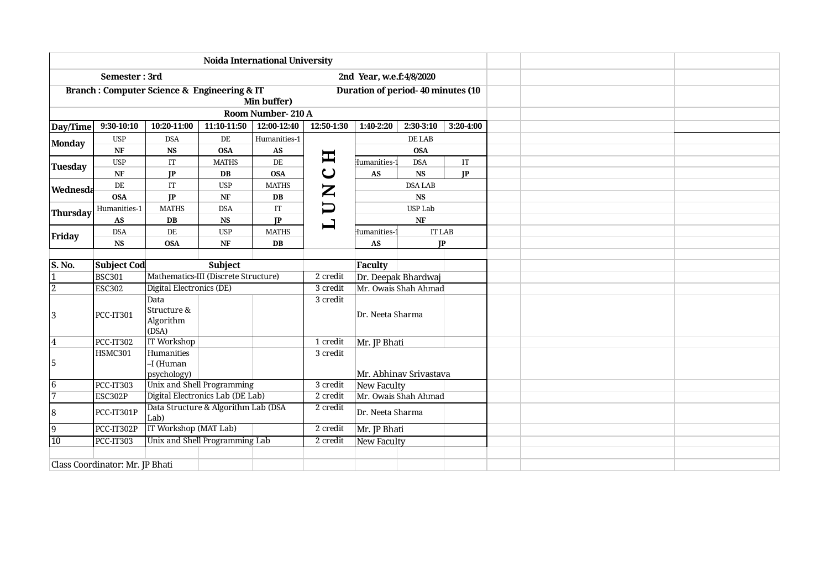|                |                                 | <b>Noida International University</b>                      |                                      |                        |                                                                                                                                                                                                                                                                                                                                                                                                                                                     |                                                                                                                                                                                                                                                                                                                                                                                                  |            |                     |  |  |
|----------------|---------------------------------|------------------------------------------------------------|--------------------------------------|------------------------|-----------------------------------------------------------------------------------------------------------------------------------------------------------------------------------------------------------------------------------------------------------------------------------------------------------------------------------------------------------------------------------------------------------------------------------------------------|--------------------------------------------------------------------------------------------------------------------------------------------------------------------------------------------------------------------------------------------------------------------------------------------------------------------------------------------------------------------------------------------------|------------|---------------------|--|--|
|                | Semester: 3rd                   |                                                            |                                      |                        |                                                                                                                                                                                                                                                                                                                                                                                                                                                     |                                                                                                                                                                                                                                                                                                                                                                                                  |            |                     |  |  |
|                |                                 | <b>Branch: Computer Science &amp; Engineering &amp; IT</b> |                                      | Min buffer)            |                                                                                                                                                                                                                                                                                                                                                                                                                                                     |                                                                                                                                                                                                                                                                                                                                                                                                  |            |                     |  |  |
|                |                                 |                                                            |                                      | Room Number-210 A      |                                                                                                                                                                                                                                                                                                                                                                                                                                                     |                                                                                                                                                                                                                                                                                                                                                                                                  |            |                     |  |  |
| Day/Time       | 9:30-10:10                      | 10:20-11:00                                                | 11:10-11:50                          | 12:00-12:40            | 12:50-1:30                                                                                                                                                                                                                                                                                                                                                                                                                                          | 1:40-2:20<br>2:30-3:10<br>3:20-4:00                                                                                                                                                                                                                                                                                                                                                              |            |                     |  |  |
| <b>Monday</b>  | <b>USP</b>                      | <b>DSA</b>                                                 | DE                                   | Humanities-1           |                                                                                                                                                                                                                                                                                                                                                                                                                                                     | DE LAB                                                                                                                                                                                                                                                                                                                                                                                           |            |                     |  |  |
|                | $\ensuremath{\text{NF}}$        | $\mathbf{N}\mathbf{S}$                                     | <b>OSA</b>                           | $\bf{AS}$              | 耳                                                                                                                                                                                                                                                                                                                                                                                                                                                   | <b>OSA</b>                                                                                                                                                                                                                                                                                                                                                                                       |            |                     |  |  |
| Tuesday        | <b>USP</b>                      | IT                                                         | <b>MATHS</b>                         | DE                     |                                                                                                                                                                                                                                                                                                                                                                                                                                                     | Humanities-                                                                                                                                                                                                                                                                                                                                                                                      | <b>DSA</b> | $\operatorname{IT}$ |  |  |
|                | NF                              | IP                                                         | $DB$                                 | <b>OSA</b>             | $\mathbf C$                                                                                                                                                                                                                                                                                                                                                                                                                                         | AS                                                                                                                                                                                                                                                                                                                                                                                               | <b>NS</b>  | IP                  |  |  |
| Wednesda       | DE                              | IT                                                         | <b>USP</b>                           | <b>MATHS</b>           | $\mathbf{Z}% _{T}=\mathbf{Z}_{T}\!\left( a,b\right) ,\ \mathbf{Z}_{T}=\mathbf{Z}_{T} \!\left( a,b\right) ,\ \mathbf{Z}_{T}=\mathbf{Z}_{T}% \!\left( a,b\right) ,\ \mathbf{Z}_{T}=\mathbf{Z}_{T} \!\left( a,b\right) ,\ \mathbf{Z}_{T}=\mathbf{Z}_{T} \!\left( a,b\right) ,\ \mathbf{Z}_{T}=\mathbf{Z}_{T} \!\left( a,b\right) ,\ \mathbf{Z}_{T}=\mathbf{Z}_{T} \!\left( a,b\right) ,\ \mathbf{Z}_{T}=\mathbf{Z}_{T} \!\left( a,b\right) ,\ \mathbf$ | 2nd Year, w.e.f:4/8/2020<br>Duration of period-40 minutes (10<br><b>DSA LAB</b><br><b>NS</b><br>USP Lab<br>NF<br><b>IT LAB</b><br>Humanities-<br><b>AS</b><br>IP<br><b>Faculty</b><br>Dr. Deepak Bhardwaj<br>Mr. Owais Shah Ahmad<br>Dr. Neeta Sharma<br>Mr. JP Bhati<br>Mr. Abhinav Srivastava<br><b>New Faculty</b><br>Mr. Owais Shah Ahmad<br>Dr. Neeta Sharma<br>Mr. JP Bhati<br>New Faculty |            |                     |  |  |
|                | <b>OSA</b>                      | IP                                                         | $\bf{NF}$                            | DB                     |                                                                                                                                                                                                                                                                                                                                                                                                                                                     |                                                                                                                                                                                                                                                                                                                                                                                                  |            |                     |  |  |
| Thursday       | Humanities-1                    | <b>MATHS</b>                                               | <b>DSA</b>                           | $\rm IT$               | $\bm \Box$                                                                                                                                                                                                                                                                                                                                                                                                                                          |                                                                                                                                                                                                                                                                                                                                                                                                  |            |                     |  |  |
|                | $\boldsymbol{\mathsf{AS}}$      | $\mathbf{D}\mathbf{B}$                                     | $\mathbf{N}\mathbf{S}$               | JP                     | 凵                                                                                                                                                                                                                                                                                                                                                                                                                                                   |                                                                                                                                                                                                                                                                                                                                                                                                  |            |                     |  |  |
| Friday         | <b>DSA</b>                      | DE                                                         | <b>USP</b>                           | <b>MATHS</b>           |                                                                                                                                                                                                                                                                                                                                                                                                                                                     |                                                                                                                                                                                                                                                                                                                                                                                                  |            |                     |  |  |
|                | $\mathbf{N}\mathbf{S}$          | <b>OSA</b>                                                 | $\bf{NF}$                            | $\mathbf{D}\mathbf{B}$ |                                                                                                                                                                                                                                                                                                                                                                                                                                                     |                                                                                                                                                                                                                                                                                                                                                                                                  |            |                     |  |  |
|                |                                 |                                                            |                                      |                        |                                                                                                                                                                                                                                                                                                                                                                                                                                                     |                                                                                                                                                                                                                                                                                                                                                                                                  |            |                     |  |  |
| S. No.         | <b>Subject Cod</b>              |                                                            | Subject                              |                        |                                                                                                                                                                                                                                                                                                                                                                                                                                                     |                                                                                                                                                                                                                                                                                                                                                                                                  |            |                     |  |  |
| $\vert$ 1      | <b>BSC301</b>                   |                                                            | Mathematics-III (Discrete Structure) |                        | 2 credit                                                                                                                                                                                                                                                                                                                                                                                                                                            |                                                                                                                                                                                                                                                                                                                                                                                                  |            |                     |  |  |
| $\overline{2}$ | <b>ESC302</b>                   | Digital Electronics (DE)                                   |                                      |                        | 3 credit                                                                                                                                                                                                                                                                                                                                                                                                                                            |                                                                                                                                                                                                                                                                                                                                                                                                  |            |                     |  |  |
|                |                                 | Data                                                       |                                      |                        | 3 credit                                                                                                                                                                                                                                                                                                                                                                                                                                            |                                                                                                                                                                                                                                                                                                                                                                                                  |            |                     |  |  |
| 3              | PCC-IT301                       | Structure &                                                |                                      |                        |                                                                                                                                                                                                                                                                                                                                                                                                                                                     |                                                                                                                                                                                                                                                                                                                                                                                                  |            |                     |  |  |
|                |                                 | Algorithm                                                  |                                      |                        |                                                                                                                                                                                                                                                                                                                                                                                                                                                     |                                                                                                                                                                                                                                                                                                                                                                                                  |            |                     |  |  |
|                | <b>PCC-IT302</b>                | (DSA)<br><b>IT Workshop</b>                                |                                      |                        | 1 credit                                                                                                                                                                                                                                                                                                                                                                                                                                            |                                                                                                                                                                                                                                                                                                                                                                                                  |            |                     |  |  |
| 4              | <b>HSMC301</b>                  | Humanities                                                 |                                      |                        | 3 credit                                                                                                                                                                                                                                                                                                                                                                                                                                            |                                                                                                                                                                                                                                                                                                                                                                                                  |            |                     |  |  |
| 5              |                                 | -I (Human                                                  |                                      |                        |                                                                                                                                                                                                                                                                                                                                                                                                                                                     |                                                                                                                                                                                                                                                                                                                                                                                                  |            |                     |  |  |
|                |                                 | psychology)                                                |                                      |                        |                                                                                                                                                                                                                                                                                                                                                                                                                                                     |                                                                                                                                                                                                                                                                                                                                                                                                  |            |                     |  |  |
| 6              | <b>PCC-IT303</b>                | Unix and Shell Programming                                 |                                      |                        | 3 credit                                                                                                                                                                                                                                                                                                                                                                                                                                            |                                                                                                                                                                                                                                                                                                                                                                                                  |            |                     |  |  |
| 17             | ESC302P                         | Digital Electronics Lab (DE Lab)                           |                                      |                        | 2 credit                                                                                                                                                                                                                                                                                                                                                                                                                                            |                                                                                                                                                                                                                                                                                                                                                                                                  |            |                     |  |  |
|                |                                 | Data Structure & Algorithm Lab (DSA                        |                                      |                        | 2 credit                                                                                                                                                                                                                                                                                                                                                                                                                                            |                                                                                                                                                                                                                                                                                                                                                                                                  |            |                     |  |  |
| 18             | PCC-IT301P                      | Lab)                                                       |                                      |                        |                                                                                                                                                                                                                                                                                                                                                                                                                                                     |                                                                                                                                                                                                                                                                                                                                                                                                  |            |                     |  |  |
| 19             | PCC-IT302P                      | IT Workshop (MAT Lab)                                      |                                      |                        | 2 credit                                                                                                                                                                                                                                                                                                                                                                                                                                            |                                                                                                                                                                                                                                                                                                                                                                                                  |            |                     |  |  |
| $ 10\rangle$   | PCC-IT303                       | Unix and Shell Programming Lab                             |                                      |                        | 2 credit                                                                                                                                                                                                                                                                                                                                                                                                                                            |                                                                                                                                                                                                                                                                                                                                                                                                  |            |                     |  |  |
|                |                                 |                                                            |                                      |                        |                                                                                                                                                                                                                                                                                                                                                                                                                                                     |                                                                                                                                                                                                                                                                                                                                                                                                  |            |                     |  |  |
|                | Class Coordinator: Mr. JP Bhati |                                                            |                                      |                        |                                                                                                                                                                                                                                                                                                                                                                                                                                                     |                                                                                                                                                                                                                                                                                                                                                                                                  |            |                     |  |  |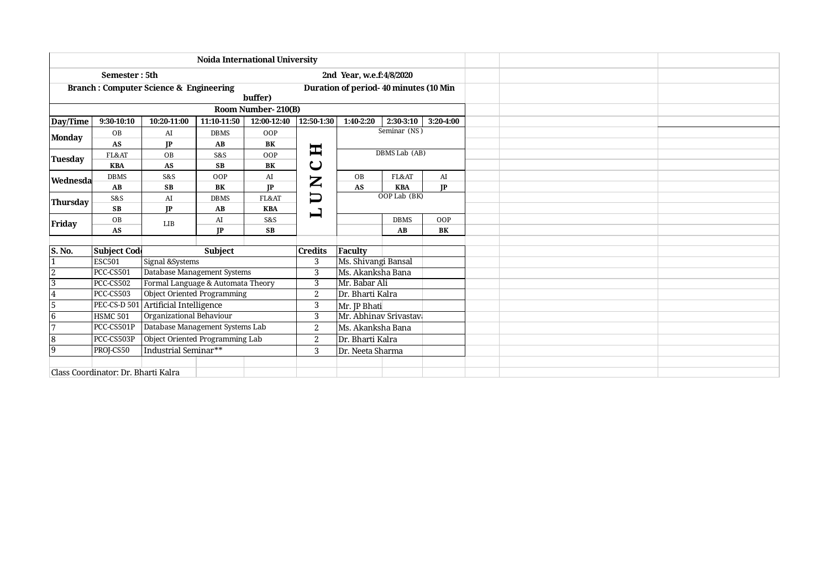|                |                                            |                                                                                                |               | <b>Noida International University</b>                                                                                                                                                                                                                                                                                                                                                                                                                                                                           |                  |                          |                                       |     |  |  |  |
|----------------|--------------------------------------------|------------------------------------------------------------------------------------------------|---------------|-----------------------------------------------------------------------------------------------------------------------------------------------------------------------------------------------------------------------------------------------------------------------------------------------------------------------------------------------------------------------------------------------------------------------------------------------------------------------------------------------------------------|------------------|--------------------------|---------------------------------------|-----|--|--|--|
|                | Semester: 5th                              |                                                                                                |               |                                                                                                                                                                                                                                                                                                                                                                                                                                                                                                                 |                  | 2nd Year, w.e.f:4/8/2020 |                                       |     |  |  |  |
|                |                                            | <b>Branch: Computer Science &amp; Engineering</b>                                              |               |                                                                                                                                                                                                                                                                                                                                                                                                                                                                                                                 |                  |                          | Duration of period-40 minutes (10 Min |     |  |  |  |
|                |                                            |                                                                                                |               | buffer)                                                                                                                                                                                                                                                                                                                                                                                                                                                                                                         |                  |                          |                                       |     |  |  |  |
|                |                                            |                                                                                                |               | Room Number-210(B)                                                                                                                                                                                                                                                                                                                                                                                                                                                                                              |                  |                          |                                       |     |  |  |  |
| Day/Time       | 9:30-10:10                                 | 2:30-3:10<br>11:10-11:50<br>12:00-12:40<br>12:50-1:30<br>1:40-2:20<br>3:20-4:00<br>10:20-11:00 |               |                                                                                                                                                                                                                                                                                                                                                                                                                                                                                                                 |                  |                          |                                       |     |  |  |  |
| <b>Monday</b>  | OB                                         | AI                                                                                             | <b>DBMS</b>   | Seminar (NS)<br>OOP                                                                                                                                                                                                                                                                                                                                                                                                                                                                                             |                  |                          |                                       |     |  |  |  |
|                | <b>AS</b>                                  | IP                                                                                             | AB<br>BK<br>耳 |                                                                                                                                                                                                                                                                                                                                                                                                                                                                                                                 |                  |                          |                                       |     |  |  |  |
| Tuesday        | DBMS Lab (AB)<br>OB<br>OOP<br>FL&AT<br>S&S |                                                                                                |               |                                                                                                                                                                                                                                                                                                                                                                                                                                                                                                                 |                  |                          |                                       |     |  |  |  |
|                | U<br><b>SB</b><br>AS<br><b>KBA</b><br>BK   |                                                                                                |               |                                                                                                                                                                                                                                                                                                                                                                                                                                                                                                                 |                  |                          |                                       |     |  |  |  |
| Wednesda       | <b>DBMS</b>                                | S&S                                                                                            | OOP           | FL&AT<br>AI<br>AI<br>OB<br>$\mathbf{Z}% _{T}=\mathbf{Z}_{T}\!\left( a,b\right) ,\ \mathbf{Z}_{T}=\mathbf{Z}_{T} \!\left( a,b\right) ,\ \mathbf{Z}_{T}=\mathbf{Z}_{T} \!\left( a,b\right) , \ \mathbf{Z}_{T}=\mathbf{Z}% _{T} \!\left( a,b\right) , \ \mathbf{Z}_{T}=\mathbf{Z}_{T} \!\left( a,b\right) , \ \mathbf{Z}_{T}=\mathbf{Z}_{T} \!\left( a,b\right) , \ \mathbf{Z}_{T}=\mathbf{Z}_{T} \!\left( a,b\right) , \ \mathbf{Z}_{T}=\mathbf{Z}_{T} \!\left( a,b\right) , \ \$<br>IP<br>AS<br>IP<br><b>KBA</b> |                  |                          |                                       |     |  |  |  |
|                | AB                                         | <b>SB</b>                                                                                      | BK            |                                                                                                                                                                                                                                                                                                                                                                                                                                                                                                                 |                  |                          |                                       |     |  |  |  |
| Thursday       | S&S                                        | AI                                                                                             | <b>DBMS</b>   | FL&AT                                                                                                                                                                                                                                                                                                                                                                                                                                                                                                           | コ                | OOP Lab (BK)             |                                       |     |  |  |  |
|                | <b>SB</b>                                  | IP                                                                                             | AB            | <b>KBA</b>                                                                                                                                                                                                                                                                                                                                                                                                                                                                                                      | ᆸ                |                          |                                       |     |  |  |  |
| Friday         | OB                                         | LIB                                                                                            | AI            | S&S                                                                                                                                                                                                                                                                                                                                                                                                                                                                                                             |                  |                          | <b>DBMS</b>                           | OOP |  |  |  |
|                | AS                                         |                                                                                                | IP            | <b>SB</b>                                                                                                                                                                                                                                                                                                                                                                                                                                                                                                       |                  | BK<br>AB                 |                                       |     |  |  |  |
|                |                                            |                                                                                                |               |                                                                                                                                                                                                                                                                                                                                                                                                                                                                                                                 |                  |                          |                                       |     |  |  |  |
| S. No.         | <b>Subject Code</b>                        |                                                                                                | Subject       |                                                                                                                                                                                                                                                                                                                                                                                                                                                                                                                 | <b>Credits</b>   | Faculty                  |                                       |     |  |  |  |
|                | <b>ESC501</b>                              | Signal &Systems                                                                                |               |                                                                                                                                                                                                                                                                                                                                                                                                                                                                                                                 | 3                | Ms. Shivangi Bansal      |                                       |     |  |  |  |
| 2              | PCC-CS501                                  | Database Management Systems                                                                    |               |                                                                                                                                                                                                                                                                                                                                                                                                                                                                                                                 | 3                | Ms. Akanksha Bana        |                                       |     |  |  |  |
| $\overline{3}$ | PCC-CS502                                  | Formal Language & Automata Theory                                                              |               |                                                                                                                                                                                                                                                                                                                                                                                                                                                                                                                 | 3                | Mr. Babar Ali            |                                       |     |  |  |  |
| 4              | PCC-CS503                                  | <b>Object Oriented Programming</b>                                                             |               |                                                                                                                                                                                                                                                                                                                                                                                                                                                                                                                 | $\boldsymbol{2}$ | Dr. Bharti Kalra         |                                       |     |  |  |  |
| $\overline{5}$ | <b>PEC-CS-D 501</b>                        | Artificial Intelligence                                                                        |               |                                                                                                                                                                                                                                                                                                                                                                                                                                                                                                                 | 3                | Mr. JP Bhati             |                                       |     |  |  |  |
| 16             | <b>HSMC 501</b>                            | Organizational Behaviour                                                                       |               |                                                                                                                                                                                                                                                                                                                                                                                                                                                                                                                 | 3                |                          | Mr. Abhinav Srivastavi                |     |  |  |  |
|                | PCC-CS501P                                 | Database Management Systems Lab                                                                |               |                                                                                                                                                                                                                                                                                                                                                                                                                                                                                                                 | $\overline{2}$   | Ms. Akanksha Bana        |                                       |     |  |  |  |
| $\sqrt{8}$     | PCC-CS503P                                 | Object Oriented Programming Lab                                                                |               |                                                                                                                                                                                                                                                                                                                                                                                                                                                                                                                 | $\overline{2}$   | Dr. Bharti Kalra         |                                       |     |  |  |  |
| 19             | PROJ-CS50                                  | Industrial Seminar**                                                                           |               |                                                                                                                                                                                                                                                                                                                                                                                                                                                                                                                 | 3                | Dr. Neeta Sharma         |                                       |     |  |  |  |
|                |                                            |                                                                                                |               |                                                                                                                                                                                                                                                                                                                                                                                                                                                                                                                 |                  |                          |                                       |     |  |  |  |
|                | Class Coordinator: Dr. Bharti Kalra        |                                                                                                |               |                                                                                                                                                                                                                                                                                                                                                                                                                                                                                                                 |                  |                          |                                       |     |  |  |  |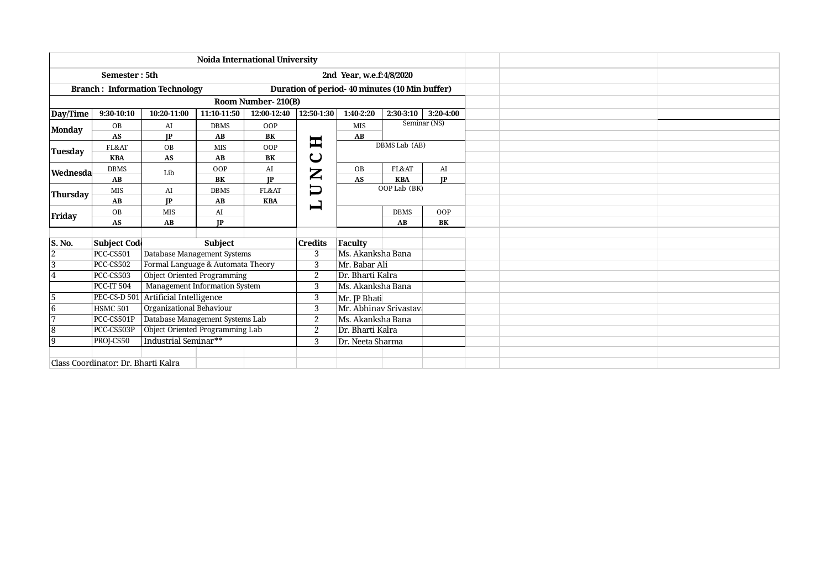| <b>Noida International University</b> |                                     |                                       |                                               |                    |                                                                                                                                                                                                                                                                                                                                                                                                                                                    |                                                                                                      |                        |              |  |
|---------------------------------------|-------------------------------------|---------------------------------------|-----------------------------------------------|--------------------|----------------------------------------------------------------------------------------------------------------------------------------------------------------------------------------------------------------------------------------------------------------------------------------------------------------------------------------------------------------------------------------------------------------------------------------------------|------------------------------------------------------------------------------------------------------|------------------------|--------------|--|
|                                       | Semester: 5th                       |                                       |                                               |                    |                                                                                                                                                                                                                                                                                                                                                                                                                                                    | 2nd Year, w.e.f:4/8/2020                                                                             |                        |              |  |
|                                       |                                     | <b>Branch: Information Technology</b> | Duration of period-40 minutes (10 Min buffer) |                    |                                                                                                                                                                                                                                                                                                                                                                                                                                                    |                                                                                                      |                        |              |  |
|                                       |                                     |                                       |                                               | Room Number-210(B) |                                                                                                                                                                                                                                                                                                                                                                                                                                                    |                                                                                                      |                        |              |  |
| Day/Time                              | 9:30-10:10                          | 10:20-11:00                           | 11:10-11:50                                   | 12:00-12:40        | 12:50-1:30                                                                                                                                                                                                                                                                                                                                                                                                                                         | 1:40-2:20                                                                                            | 2:30-3:10              | 3:20-4:00    |  |
| <b>Monday</b>                         | OB                                  | AI                                    | <b>DBMS</b>                                   | OOP                |                                                                                                                                                                                                                                                                                                                                                                                                                                                    | <b>MIS</b>                                                                                           |                        | Seminar (NS) |  |
|                                       | AS                                  | IP                                    | AB                                            | BK                 | $\bm{\Xi}$                                                                                                                                                                                                                                                                                                                                                                                                                                         | AB                                                                                                   |                        |              |  |
| <b>Tuesday</b>                        | FL&AT                               | OB                                    | <b>MIS</b>                                    | OOP                |                                                                                                                                                                                                                                                                                                                                                                                                                                                    |                                                                                                      |                        |              |  |
|                                       | <b>KBA</b>                          | AS                                    | AB                                            | BK                 | $\mathbf C$                                                                                                                                                                                                                                                                                                                                                                                                                                        |                                                                                                      |                        |              |  |
| Wednesda                              | <b>DBMS</b>                         | Lib                                   | OOP                                           | AI                 | $\mathbf{Z}% _{T}=\mathbf{Z}_{T}\!\left( a,b\right) ,\ \mathbf{Z}_{T}=\mathbf{Z}_{T} \!\left( a,b\right) ,\ \mathbf{Z}_{T}=\mathbf{Z}_{T} \!\left( a,b\right) ,\ \mathbf{Z}_{T}=\mathbf{Z}_{T} \!\left( a,b\right) ,\ \mathbf{Z}_{T}=\mathbf{Z}_{T} \!\left( a,b\right) ,\ \mathbf{Z}_{T}=\mathbf{Z}_{T} \!\left( a,b\right) ,\ \mathbf{Z}_{T}=\mathbf{Z}_{T} \!\left( a,b\right) ,\ \mathbf{Z}_{T}=\mathbf{Z}_{T} \!\left( a,b\right) ,\ \mathbf$ | OB                                                                                                   | FL&AT                  | AI           |  |
|                                       | AB                                  |                                       | <b>BK</b>                                     | <b>IP</b>          |                                                                                                                                                                                                                                                                                                                                                                                                                                                    | DBMS Lab (AB)<br>IP<br>AS<br><b>KBA</b><br>OOP Lab (BK)<br>OOP<br><b>DBMS</b><br>AB<br>BK<br>Faculty |                        |              |  |
| <b>Thursday</b>                       | <b>MIS</b>                          | AI                                    | <b>DBMS</b>                                   | FL&AT              | $\bm{\Box}$                                                                                                                                                                                                                                                                                                                                                                                                                                        |                                                                                                      |                        |              |  |
|                                       | AB                                  | IP                                    | AB                                            | <b>KBA</b>         | 凵                                                                                                                                                                                                                                                                                                                                                                                                                                                  |                                                                                                      |                        |              |  |
| Friday                                | <b>OB</b>                           | <b>MIS</b>                            | AI                                            |                    |                                                                                                                                                                                                                                                                                                                                                                                                                                                    |                                                                                                      |                        |              |  |
|                                       | AS                                  | AB                                    | IP                                            |                    |                                                                                                                                                                                                                                                                                                                                                                                                                                                    |                                                                                                      |                        |              |  |
|                                       |                                     |                                       |                                               |                    |                                                                                                                                                                                                                                                                                                                                                                                                                                                    |                                                                                                      |                        |              |  |
| S. No.                                | Subject Code                        |                                       | <b>Subject</b>                                |                    | <b>Credits</b>                                                                                                                                                                                                                                                                                                                                                                                                                                     |                                                                                                      |                        |              |  |
| $\overline{2}$                        | <b>PCC-CS501</b>                    | Database Management Systems           |                                               |                    | 3                                                                                                                                                                                                                                                                                                                                                                                                                                                  | Ms. Akanksha Bana                                                                                    |                        |              |  |
| $\overline{3}$                        | <b>PCC-CS502</b>                    | Formal Language & Automata Theory     |                                               |                    | 3                                                                                                                                                                                                                                                                                                                                                                                                                                                  | Mr. Babar Ali                                                                                        |                        |              |  |
| 4                                     | PCC-CS503                           | <b>Object Oriented Programming</b>    |                                               |                    | $\overline{2}$                                                                                                                                                                                                                                                                                                                                                                                                                                     | Dr. Bharti Kalra                                                                                     |                        |              |  |
|                                       | <b>PCC-IT 504</b>                   | Management Information System         |                                               |                    | 3                                                                                                                                                                                                                                                                                                                                                                                                                                                  | Ms. Akanksha Bana                                                                                    |                        |              |  |
| 5                                     | PEC-CS-D 501                        | Artificial Intelligence               |                                               |                    | 3                                                                                                                                                                                                                                                                                                                                                                                                                                                  | Mr. JP Bhati                                                                                         |                        |              |  |
| 16                                    | <b>HSMC 501</b>                     | Organizational Behaviour              |                                               |                    | 3                                                                                                                                                                                                                                                                                                                                                                                                                                                  |                                                                                                      | Mr. Abhinav Srivastavi |              |  |
| $\overline{7}$                        | PCC-CS501P                          | Database Management Systems Lab       |                                               |                    | $\boldsymbol{2}$                                                                                                                                                                                                                                                                                                                                                                                                                                   | Ms. Akanksha Bana                                                                                    |                        |              |  |
| 18                                    | PCC-CS503P                          | Object Oriented Programming Lab       |                                               |                    | 2                                                                                                                                                                                                                                                                                                                                                                                                                                                  | Dr. Bharti Kalra                                                                                     |                        |              |  |
| 19                                    | PROJ-CS50                           | Industrial Seminar**                  |                                               |                    | 3                                                                                                                                                                                                                                                                                                                                                                                                                                                  | Dr. Neeta Sharma                                                                                     |                        |              |  |
|                                       |                                     |                                       |                                               |                    |                                                                                                                                                                                                                                                                                                                                                                                                                                                    |                                                                                                      |                        |              |  |
|                                       | Class Coordinator: Dr. Bharti Kalra |                                       |                                               |                    |                                                                                                                                                                                                                                                                                                                                                                                                                                                    |                                                                                                      |                        |              |  |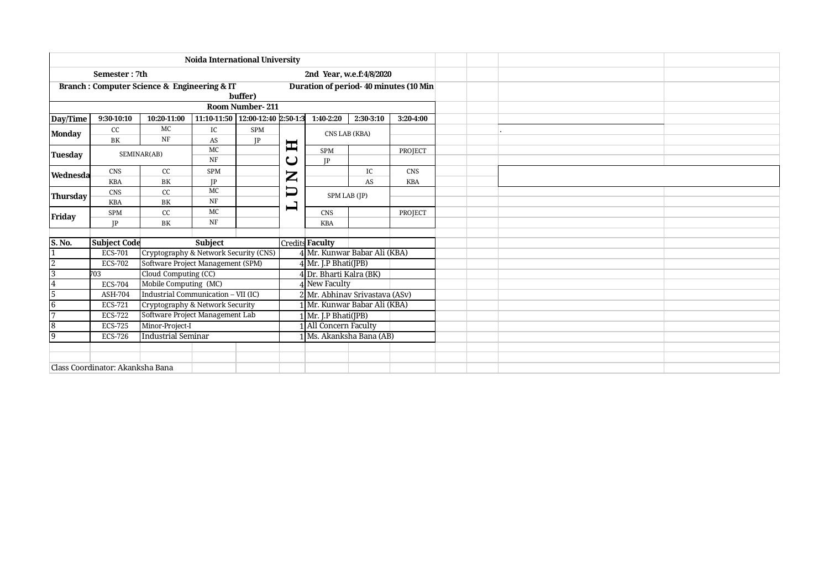|                        | <b>Noida International University</b>                      |                                       |                                  |                |              |                                                     |                                |                                       |  |  |  |  |  |  |
|------------------------|------------------------------------------------------------|---------------------------------------|----------------------------------|----------------|--------------|-----------------------------------------------------|--------------------------------|---------------------------------------|--|--|--|--|--|--|
|                        | Semester: 7th                                              |                                       |                                  |                |              |                                                     | 2nd Year, w.e.f:4/8/2020       |                                       |  |  |  |  |  |  |
|                        | <b>Branch: Computer Science &amp; Engineering &amp; IT</b> |                                       |                                  | buffer)        |              |                                                     |                                | Duration of period-40 minutes (10 Min |  |  |  |  |  |  |
| <b>Room Number-211</b> |                                                            |                                       |                                  |                |              |                                                     |                                |                                       |  |  |  |  |  |  |
| Day/Time               | 9:30-10:10                                                 | 10:20-11:00                           | 11:10-11:50 12:00-12:40 2:50-1:3 |                |              | 1:40-2:20                                           | 2:30-3:10                      | 3:20-4:00                             |  |  |  |  |  |  |
| <b>Monday</b>          | cc                                                         | MC                                    | IC                               | <b>SPM</b>     |              |                                                     | CNS LAB (KBA)                  |                                       |  |  |  |  |  |  |
|                        | <b>BK</b>                                                  | NF                                    | AS                               | IP             |              |                                                     |                                |                                       |  |  |  |  |  |  |
| Tuesday                |                                                            | SEMINAR(AB)                           | MC                               |                | 耳            | <b>SPM</b>                                          |                                | PROJECT                               |  |  |  |  |  |  |
|                        |                                                            |                                       | $\rm{NF}$                        |                | ပ            | IP                                                  |                                |                                       |  |  |  |  |  |  |
| Wednesda               | <b>CNS</b>                                                 | cc                                    | <b>SPM</b>                       |                | $\mathbf{Z}$ |                                                     | IC                             | <b>CNS</b>                            |  |  |  |  |  |  |
|                        | <b>KBA</b>                                                 | BK                                    | IP                               |                |              |                                                     | AS                             | <b>KBA</b>                            |  |  |  |  |  |  |
|                        | MC<br>cc<br><b>CNS</b><br>Thursday                         |                                       |                                  |                | $\Box$       |                                                     |                                |                                       |  |  |  |  |  |  |
|                        | <b>KBA</b>                                                 | BK                                    | NF                               | $\blacksquare$ |              |                                                     |                                |                                       |  |  |  |  |  |  |
| Friday                 | <b>SPM</b>                                                 | cc                                    | $_{\mathrm{MC}}$                 |                |              | SPM LAB (JP)<br><b>CNS</b><br>PROJECT<br><b>KBA</b> |                                |                                       |  |  |  |  |  |  |
|                        | IP                                                         | BK                                    | NF                               |                |              |                                                     |                                |                                       |  |  |  |  |  |  |
|                        |                                                            |                                       |                                  |                |              |                                                     |                                |                                       |  |  |  |  |  |  |
| $\vert$ S. No.         | <b>Subject Code</b>                                        |                                       | <b>Subject</b>                   |                |              | <b>Credits Faculty</b>                              |                                |                                       |  |  |  |  |  |  |
|                        | ECS-701                                                    | Cryptography & Network Security (CNS) |                                  |                |              |                                                     | 4 Mr. Kunwar Babar Ali (KBA)   |                                       |  |  |  |  |  |  |
| $\overline{2}$         | <b>ECS-702</b>                                             | Software Project Management (SPM)     |                                  |                |              | $4$ Mr. J.P Bhati(JPB)                              |                                |                                       |  |  |  |  |  |  |
| $\overline{3}$         | 703                                                        | Cloud Computing (CC)                  |                                  |                |              | 4 Dr. Bharti Kalra (BK)                             |                                |                                       |  |  |  |  |  |  |
| $\vert 4$              | <b>ECS-704</b>                                             | Mobile Computing (MC)                 |                                  |                |              | 4 New Faculty                                       |                                |                                       |  |  |  |  |  |  |
| $\overline{5}$         | ASH-704                                                    | Industrial Communication - VII (IC)   |                                  |                |              |                                                     | 2 Mr. Abhinav Srivastava (ASv) |                                       |  |  |  |  |  |  |
| 6                      | <b>ECS-721</b>                                             | Cryptography & Network Security       |                                  |                |              |                                                     | 1 Mr. Kunwar Babar Ali (KBA)   |                                       |  |  |  |  |  |  |
| $\overline{7}$         | <b>ECS-722</b>                                             | Software Project Management Lab       |                                  |                |              | Mr. J.P Bhati(JPB)                                  |                                |                                       |  |  |  |  |  |  |
| $\overline{8}$         | <b>ECS-725</b>                                             | Minor-Project-I                       |                                  |                |              | 1 All Concern Faculty                               |                                |                                       |  |  |  |  |  |  |
| 19                     | <b>ECS-726</b>                                             | <b>Industrial Seminar</b>             |                                  |                |              |                                                     | 1   Ms. Akanksha Bana (AB)     |                                       |  |  |  |  |  |  |
|                        |                                                            |                                       |                                  |                |              |                                                     |                                |                                       |  |  |  |  |  |  |
|                        |                                                            |                                       |                                  |                |              |                                                     |                                |                                       |  |  |  |  |  |  |
|                        | Class Coordinator: Akanksha Bana                           |                                       |                                  |                |              |                                                     |                                |                                       |  |  |  |  |  |  |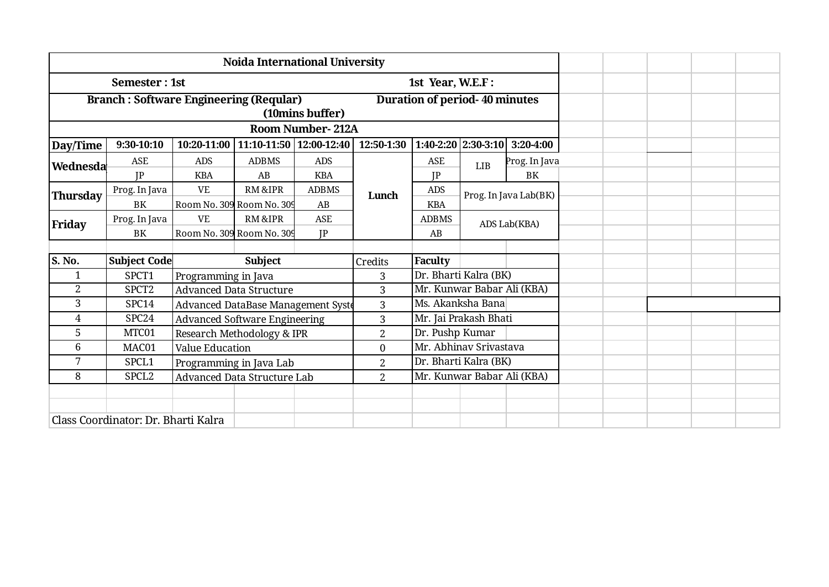|                 |                                               |                           | <b>Noida International University</b> |                 |                  |                                      |                            |                       |  |  |  |  |
|-----------------|-----------------------------------------------|---------------------------|---------------------------------------|-----------------|------------------|--------------------------------------|----------------------------|-----------------------|--|--|--|--|
|                 | Semester: 1st                                 |                           |                                       |                 |                  | 1st Year, W.E.F:                     |                            |                       |  |  |  |  |
|                 | <b>Branch: Software Engineering (Reqular)</b> |                           |                                       |                 |                  | <b>Duration of period-40 minutes</b> |                            |                       |  |  |  |  |
|                 |                                               |                           |                                       | (10mins buffer) |                  |                                      |                            |                       |  |  |  |  |
|                 | <b>Room Number-212A</b>                       |                           |                                       |                 |                  |                                      |                            |                       |  |  |  |  |
| Day/Time        | 9:30-10:10                                    | 10:20-11:00               | 11:10-11:50   12:00-12:40             |                 | 12:50-1:30       |                                      | $1:40-2:20$   $2:30-3:10$  | 3:20-4:00             |  |  |  |  |
| Wednesda        | <b>ASE</b>                                    | <b>ADS</b>                | <b>ADBMS</b>                          | <b>ADS</b>      |                  | <b>ASE</b>                           | LIB                        | Prog. In Java         |  |  |  |  |
|                 | IP                                            | <b>KBA</b>                | AB                                    | <b>KBA</b>      |                  | IP                                   |                            | BK                    |  |  |  |  |
| <b>Thursday</b> | Prog. In Java                                 | <b>VE</b>                 | <b>RM&amp;IPR</b>                     | <b>ADBMS</b>    | Lunch            | ADS                                  |                            | Prog. In Java Lab(BK) |  |  |  |  |
|                 | BK                                            | Room No. 309 Room No. 309 |                                       | AB              |                  | <b>KBA</b>                           |                            |                       |  |  |  |  |
| Friday          | Prog. In Java                                 | <b>VE</b>                 | RM & IPR                              | <b>ASE</b>      |                  | <b>ADBMS</b>                         |                            | ADS Lab(KBA)          |  |  |  |  |
|                 | BK                                            | Room No. 309 Room No. 309 |                                       | IP              |                  | AB                                   |                            |                       |  |  |  |  |
|                 |                                               |                           |                                       |                 |                  |                                      |                            |                       |  |  |  |  |
| S. No.          | Subject Code                                  |                           | <b>Subject</b>                        |                 | Credits          | <b>Faculty</b>                       |                            |                       |  |  |  |  |
| 1               | SPCT1                                         | Programming in Java       |                                       |                 | 3                |                                      | Dr. Bharti Kalra (BK)      |                       |  |  |  |  |
| $\overline{2}$  | SPCT <sub>2</sub>                             |                           | <b>Advanced Data Structure</b>        |                 | 3                |                                      | Mr. Kunwar Babar Ali (KBA) |                       |  |  |  |  |
| 3               | SPC14                                         |                           | Advanced DataBase Management Syste    |                 | 3                |                                      | Ms. Akanksha Bana          |                       |  |  |  |  |
| $\overline{4}$  | SPC <sub>24</sub>                             |                           | <b>Advanced Software Engineering</b>  |                 | 3                |                                      | Mr. Jai Prakash Bhati      |                       |  |  |  |  |
| 5               | MTC01                                         |                           | Research Methodology & IPR            |                 | $\mathbf{2}$     | Dr. Pushp Kumar                      |                            |                       |  |  |  |  |
| 6               | MAC01                                         | <b>Value Education</b>    |                                       |                 | $\boldsymbol{0}$ |                                      | Mr. Abhinav Srivastava     |                       |  |  |  |  |
| 7               | SPCL1<br>Programming in Java Lab              |                           |                                       |                 |                  |                                      | Dr. Bharti Kalra (BK)      |                       |  |  |  |  |
| 8               | $\overline{2}$                                |                           | Mr. Kunwar Babar Ali (KBA)            |                 |                  |                                      |                            |                       |  |  |  |  |
|                 |                                               |                           |                                       |                 |                  |                                      |                            |                       |  |  |  |  |
|                 |                                               |                           |                                       |                 |                  |                                      |                            |                       |  |  |  |  |
|                 | Class Coordinator: Dr. Bharti Kalra           |                           |                                       |                 |                  |                                      |                            |                       |  |  |  |  |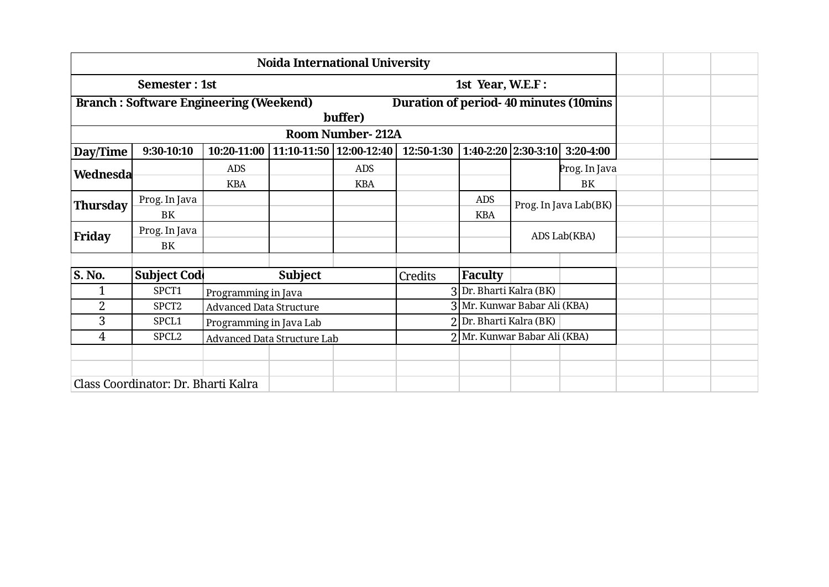|                 | <b>Noida International University</b>         |                                                                                                                                                                                                                                                                                            |                             |                         |                                               |                            |    |               |  |  |  |  |
|-----------------|-----------------------------------------------|--------------------------------------------------------------------------------------------------------------------------------------------------------------------------------------------------------------------------------------------------------------------------------------------|-----------------------------|-------------------------|-----------------------------------------------|----------------------------|----|---------------|--|--|--|--|
|                 | Semester: 1st                                 |                                                                                                                                                                                                                                                                                            |                             |                         |                                               | 1st Year, W.E.F:           |    |               |  |  |  |  |
|                 | <b>Branch: Software Engineering (Weekend)</b> |                                                                                                                                                                                                                                                                                            |                             |                         | <b>Duration of period-40 minutes (10mins)</b> |                            |    |               |  |  |  |  |
|                 |                                               |                                                                                                                                                                                                                                                                                            | buffer)                     |                         |                                               |                            |    |               |  |  |  |  |
|                 |                                               |                                                                                                                                                                                                                                                                                            |                             | <b>Room Number-212A</b> |                                               |                            |    |               |  |  |  |  |
| Day/Time        | 9:30-10:10                                    | 10:20-11:00                                                                                                                                                                                                                                                                                |                             |                         | 12:50-1:30                                    |                            |    | 3:20-4:00     |  |  |  |  |
| Wednesda        |                                               | <b>ADS</b>                                                                                                                                                                                                                                                                                 |                             | <b>ADS</b>              |                                               |                            |    | Prog. In Java |  |  |  |  |
|                 |                                               | <b>KBA</b>                                                                                                                                                                                                                                                                                 |                             |                         |                                               |                            | BK |               |  |  |  |  |
| <b>Thursday</b> | Prog. In Java                                 |                                                                                                                                                                                                                                                                                            |                             |                         |                                               | ADS                        |    |               |  |  |  |  |
|                 | BK                                            | $1:40-2:20$ 2:30-3:10<br>11:10-11:50   12:00-12:40<br><b>KBA</b><br>Prog. In Java Lab(BK)<br><b>KBA</b><br>ADS Lab(KBA)<br><b>Subject</b><br><b>Faculty</b><br>Credits<br>Dr. Bharti Kalra (BK)<br>Programming in Java<br>3   Mr. Kunwar Babar Ali (KBA)<br><b>Advanced Data Structure</b> |                             |                         |                                               |                            |    |               |  |  |  |  |
| Friday          | Prog. In Java                                 |                                                                                                                                                                                                                                                                                            |                             |                         |                                               |                            |    |               |  |  |  |  |
|                 | BK                                            |                                                                                                                                                                                                                                                                                            |                             |                         |                                               |                            |    |               |  |  |  |  |
|                 |                                               |                                                                                                                                                                                                                                                                                            |                             |                         |                                               |                            |    |               |  |  |  |  |
| S. No.          | <b>Subject Cod</b>                            |                                                                                                                                                                                                                                                                                            |                             |                         |                                               |                            |    |               |  |  |  |  |
| 1               | SPCT1                                         |                                                                                                                                                                                                                                                                                            |                             |                         |                                               |                            |    |               |  |  |  |  |
| $\overline{2}$  | SPCT <sub>2</sub>                             |                                                                                                                                                                                                                                                                                            |                             |                         |                                               |                            |    |               |  |  |  |  |
| 3               | SPCL1                                         | Programming in Java Lab                                                                                                                                                                                                                                                                    |                             |                         |                                               | Dr. Bharti Kalra (BK)      |    |               |  |  |  |  |
| 4               | SPCL <sub>2</sub>                             |                                                                                                                                                                                                                                                                                            | Advanced Data Structure Lab |                         |                                               | Mr. Kunwar Babar Ali (KBA) |    |               |  |  |  |  |
|                 |                                               |                                                                                                                                                                                                                                                                                            |                             |                         |                                               |                            |    |               |  |  |  |  |
|                 |                                               |                                                                                                                                                                                                                                                                                            |                             |                         |                                               |                            |    |               |  |  |  |  |
|                 | Class Coordinator: Dr. Bharti Kalra           |                                                                                                                                                                                                                                                                                            |                             |                         |                                               |                            |    |               |  |  |  |  |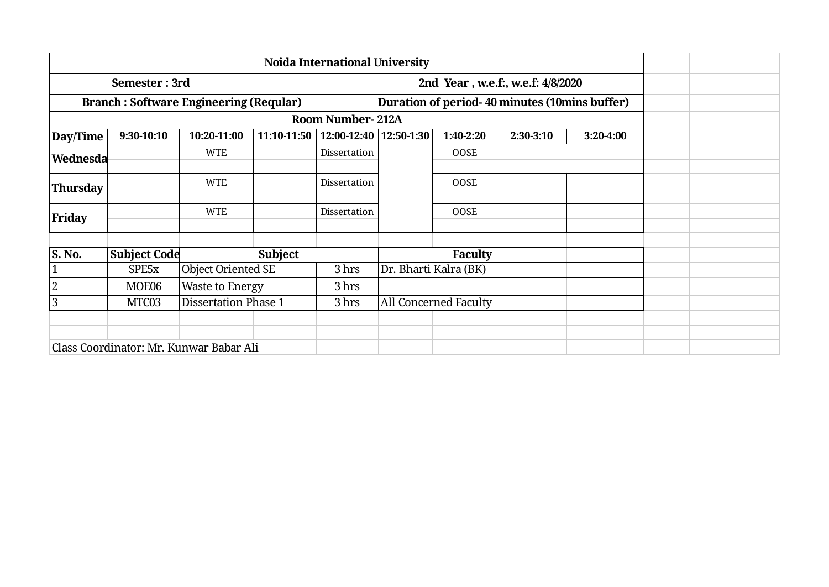|                 |                     |                                               |                | <b>Noida International University</b> |                       |                                               |           |           |  |  |
|-----------------|---------------------|-----------------------------------------------|----------------|---------------------------------------|-----------------------|-----------------------------------------------|-----------|-----------|--|--|
|                 | Semester: 3rd       |                                               |                |                                       |                       | 2nd Year, w.e.f., w.e.f: 4/8/2020             |           |           |  |  |
|                 |                     | <b>Branch: Software Engineering (Reqular)</b> |                |                                       |                       | Duration of period-40 minutes (10mins buffer) |           |           |  |  |
|                 |                     |                                               |                | <b>Room Number-212A</b>               |                       |                                               |           |           |  |  |
| Day/Time        | 9:30-10:10          | 10:20-11:00                                   | 11:10-11:50    | 12:00-12:40   12:50-1:30              |                       | 1:40-2:20                                     | 2:30-3:10 | 3:20-4:00 |  |  |
| Wednesda        |                     | <b>WTE</b>                                    |                | Dissertation                          |                       | <b>OOSE</b>                                   |           |           |  |  |
| <b>Thursday</b> |                     | <b>WTE</b>                                    |                | Dissertation                          |                       | <b>OOSE</b>                                   |           |           |  |  |
| <b>Friday</b>   |                     | <b>WTE</b>                                    |                | Dissertation                          |                       | <b>OOSE</b>                                   |           |           |  |  |
| S. No.          | <b>Subject Code</b> |                                               | <b>Subject</b> |                                       |                       | <b>Faculty</b>                                |           |           |  |  |
| $\mathbf{1}$    | SPE5x               | <b>Object Oriented SE</b>                     |                | 3 hrs                                 | Dr. Bharti Kalra (BK) |                                               |           |           |  |  |
| $\overline{c}$  | MOE06               | <b>Waste to Energy</b>                        |                | 3 hrs                                 |                       |                                               |           |           |  |  |
| $\overline{3}$  | MTC03               | <b>Dissertation Phase 1</b>                   |                | 3 hrs                                 |                       | All Concerned Faculty                         |           |           |  |  |
|                 |                     |                                               |                |                                       |                       |                                               |           |           |  |  |
|                 |                     | Class Coordinator: Mr. Kunwar Babar Ali       |                |                                       |                       |                                               |           |           |  |  |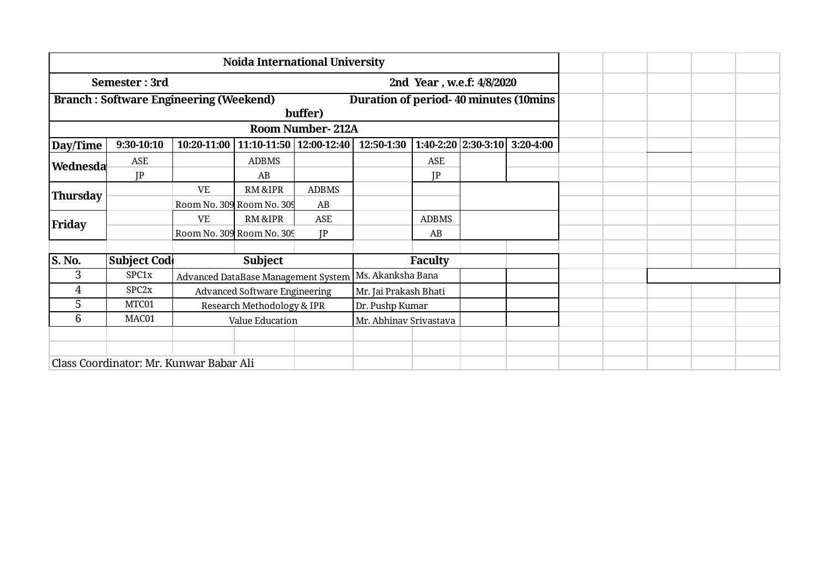|                 | Semester: 3rd                                 |                           | 2nd Year, w.e.f: 4/8/2020            |                                    |                                       |                |                       |           |  |  |  |
|-----------------|-----------------------------------------------|---------------------------|--------------------------------------|------------------------------------|---------------------------------------|----------------|-----------------------|-----------|--|--|--|
|                 | <b>Branch: Software Engineering (Weekend)</b> |                           |                                      |                                    | Duration of period-40 minutes (10mins |                |                       |           |  |  |  |
|                 |                                               |                           |                                      | buffer)<br><b>Room Number-212A</b> |                                       |                |                       |           |  |  |  |
|                 |                                               |                           |                                      |                                    |                                       |                |                       |           |  |  |  |
| Day/Time        | 9:30-10:10                                    | $10:20-11:00$             | 11:10-11:50 12:00-12:40              |                                    | 12:50-1:30                            |                | $1:40-2:20$ 2:30-3:10 | 3:20-4:00 |  |  |  |
| Wednesda        | ASE                                           |                           | <b>ADBMS</b>                         |                                    |                                       | ASE            |                       |           |  |  |  |
|                 | IP                                            |                           | AB                                   |                                    |                                       | IP             |                       |           |  |  |  |
| <b>Thursday</b> |                                               | <b>VE</b>                 | <b>RM &amp;IPR</b>                   | <b>ADBMS</b>                       |                                       |                |                       |           |  |  |  |
|                 |                                               | Room No. 309 Room No. 309 |                                      | AB                                 |                                       |                |                       |           |  |  |  |
| Friday          |                                               | <b>VE</b>                 | <b>RM&amp;IPR</b>                    | ASE                                |                                       | <b>ADBMS</b>   |                       |           |  |  |  |
|                 |                                               | Room No. 309 Room No. 309 |                                      | IP                                 |                                       | AB             |                       |           |  |  |  |
|                 |                                               |                           |                                      |                                    |                                       |                |                       |           |  |  |  |
| <b>S. No.</b>   | <b>Subject Cod</b>                            |                           | <b>Subject</b>                       |                                    |                                       | <b>Faculty</b> |                       |           |  |  |  |
| 3               | SPC1x                                         |                           | Advanced DataBase Management System  |                                    | Ms. Akanksha Bana                     |                |                       |           |  |  |  |
| 4               | SPC <sub>2x</sub>                             |                           | <b>Advanced Software Engineering</b> |                                    | Mr. Jai Prakash Bhati                 |                |                       |           |  |  |  |
| 5               | MTC01                                         |                           | Research Methodology & IPR           |                                    | Dr. Pushp Kumar                       |                |                       |           |  |  |  |
| 6               | MAC01                                         |                           | Value Education                      |                                    | Mr. Abhinav Srivastava                |                |                       |           |  |  |  |
|                 |                                               |                           |                                      |                                    |                                       |                |                       |           |  |  |  |
|                 |                                               |                           |                                      |                                    |                                       |                |                       |           |  |  |  |
|                 | Class Coordinator: Mr. Kunwar Babar Ali       |                           |                                      |                                    |                                       |                |                       |           |  |  |  |